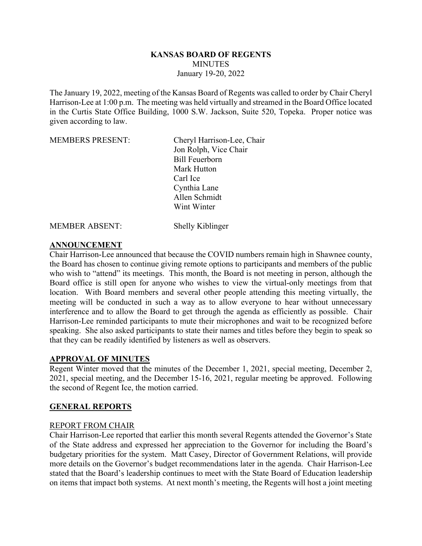### **KANSAS BOARD OF REGENTS MINUTES** January 19-20, 2022

The January 19, 2022, meeting of the Kansas Board of Regents was called to order by Chair Cheryl Harrison-Lee at 1:00 p.m. The meeting was held virtually and streamed in the Board Office located in the Curtis State Office Building, 1000 S.W. Jackson, Suite 520, Topeka. Proper notice was given according to law.

| <b>MEMBERS PRESENT:</b>                            | Cheryl Harrison-Lee, Chair     |
|----------------------------------------------------|--------------------------------|
|                                                    | Jon Rolph, Vice Chair          |
|                                                    | <b>Bill Feuerborn</b>          |
|                                                    | Mark Hutton                    |
|                                                    | Carl Ice                       |
|                                                    | Cynthia Lane                   |
|                                                    | Allen Schmidt                  |
|                                                    | Wint Winter                    |
| , <i>i</i> n, <i>i</i> n, <i>in an</i> , <i>in</i> | $\sim$ 11 $\sim$ 77 $\cdot$ 11 |

MEMBER ABSENT: Shelly Kiblinger

### **ANNOUNCEMENT**

Chair Harrison-Lee announced that because the COVID numbers remain high in Shawnee county, the Board has chosen to continue giving remote options to participants and members of the public who wish to "attend" its meetings. This month, the Board is not meeting in person, although the Board office is still open for anyone who wishes to view the virtual-only meetings from that location. With Board members and several other people attending this meeting virtually, the meeting will be conducted in such a way as to allow everyone to hear without unnecessary interference and to allow the Board to get through the agenda as efficiently as possible. Chair Harrison-Lee reminded participants to mute their microphones and wait to be recognized before speaking. She also asked participants to state their names and titles before they begin to speak so that they can be readily identified by listeners as well as observers.

# **APPROVAL OF MINUTES**

Regent Winter moved that the minutes of the December 1, 2021, special meeting, December 2, 2021, special meeting, and the December 15-16, 2021, regular meeting be approved. Following the second of Regent Ice, the motion carried.

# **GENERAL REPORTS**

#### REPORT FROM CHAIR

Chair Harrison-Lee reported that earlier this month several Regents attended the Governor's State of the State address and expressed her appreciation to the Governor for including the Board's budgetary priorities for the system. Matt Casey, Director of Government Relations, will provide more details on the Governor's budget recommendations later in the agenda. Chair Harrison-Lee stated that the Board's leadership continues to meet with the State Board of Education leadership on items that impact both systems. At next month's meeting, the Regents will host a joint meeting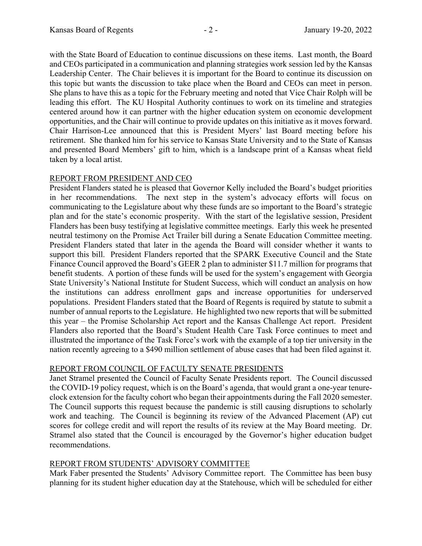with the State Board of Education to continue discussions on these items. Last month, the Board and CEOs participated in a communication and planning strategies work session led by the Kansas Leadership Center. The Chair believes it is important for the Board to continue its discussion on this topic but wants the discussion to take place when the Board and CEOs can meet in person. She plans to have this as a topic for the February meeting and noted that Vice Chair Rolph will be leading this effort. The KU Hospital Authority continues to work on its timeline and strategies centered around how it can partner with the higher education system on economic development opportunities, and the Chair will continue to provide updates on this initiative as it moves forward. Chair Harrison-Lee announced that this is President Myers' last Board meeting before his retirement. She thanked him for his service to Kansas State University and to the State of Kansas and presented Board Members' gift to him, which is a landscape print of a Kansas wheat field taken by a local artist.

# REPORT FROM PRESIDENT AND CEO

President Flanders stated he is pleased that Governor Kelly included the Board's budget priorities in her recommendations. The next step in the system's advocacy efforts will focus on communicating to the Legislature about why these funds are so important to the Board's strategic plan and for the state's economic prosperity. With the start of the legislative session, President Flanders has been busy testifying at legislative committee meetings. Early this week he presented neutral testimony on the Promise Act Trailer bill during a Senate Education Committee meeting. President Flanders stated that later in the agenda the Board will consider whether it wants to support this bill. President Flanders reported that the SPARK Executive Council and the State Finance Council approved the Board's GEER 2 plan to administer \$11.7 million for programs that benefit students. A portion of these funds will be used for the system's engagement with Georgia State University's National Institute for Student Success, which will conduct an analysis on how the institutions can address enrollment gaps and increase opportunities for underserved populations. President Flanders stated that the Board of Regents is required by statute to submit a number of annual reports to the Legislature. He highlighted two new reports that will be submitted this year – the Promise Scholarship Act report and the Kansas Challenge Act report. President Flanders also reported that the Board's Student Health Care Task Force continues to meet and illustrated the importance of the Task Force's work with the example of a top tier university in the nation recently agreeing to a \$490 million settlement of abuse cases that had been filed against it.

# REPORT FROM COUNCIL OF FACULTY SENATE PRESIDENTS

Janet Stramel presented the Council of Faculty Senate Presidents report. The Council discussed the COVID-19 policy request, which is on the Board's agenda, that would grant a one-year tenureclock extension for the faculty cohort who began their appointments during the Fall 2020 semester. The Council supports this request because the pandemic is still causing disruptions to scholarly work and teaching. The Council is beginning its review of the Advanced Placement (AP) cut scores for college credit and will report the results of its review at the May Board meeting. Dr. Stramel also stated that the Council is encouraged by the Governor's higher education budget recommendations.

# REPORT FROM STUDENTS' ADVISORY COMMITTEE

Mark Faber presented the Students' Advisory Committee report. The Committee has been busy planning for its student higher education day at the Statehouse, which will be scheduled for either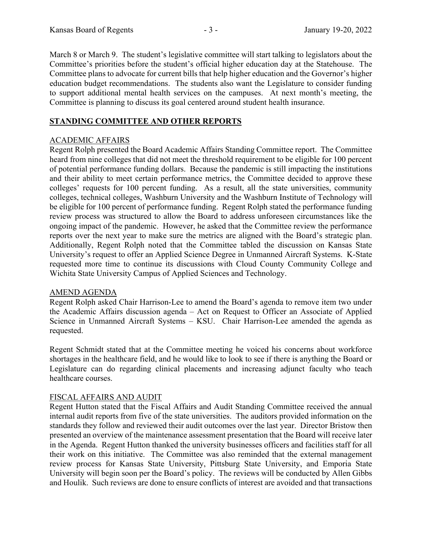March 8 or March 9. The student's legislative committee will start talking to legislators about the Committee's priorities before the student's official higher education day at the Statehouse. The Committee plans to advocate for current bills that help higher education and the Governor's higher education budget recommendations. The students also want the Legislature to consider funding to support additional mental health services on the campuses. At next month's meeting, the Committee is planning to discuss its goal centered around student health insurance.

# **STANDING COMMITTEE AND OTHER REPORTS**

### ACADEMIC AFFAIRS

Regent Rolph presented the Board Academic Affairs Standing Committee report. The Committee heard from nine colleges that did not meet the threshold requirement to be eligible for 100 percent of potential performance funding dollars. Because the pandemic is still impacting the institutions and their ability to meet certain performance metrics, the Committee decided to approve these colleges' requests for 100 percent funding. As a result, all the state universities, community colleges, technical colleges, Washburn University and the Washburn Institute of Technology will be eligible for 100 percent of performance funding. Regent Rolph stated the performance funding review process was structured to allow the Board to address unforeseen circumstances like the ongoing impact of the pandemic. However, he asked that the Committee review the performance reports over the next year to make sure the metrics are aligned with the Board's strategic plan. Additionally, Regent Rolph noted that the Committee tabled the discussion on Kansas State University's request to offer an Applied Science Degree in Unmanned Aircraft Systems. K-State requested more time to continue its discussions with Cloud County Community College and Wichita State University Campus of Applied Sciences and Technology.

#### AMEND AGENDA

Regent Rolph asked Chair Harrison-Lee to amend the Board's agenda to remove item two under the Academic Affairs discussion agenda – Act on Request to Officer an Associate of Applied Science in Unmanned Aircraft Systems – KSU. Chair Harrison-Lee amended the agenda as requested.

Regent Schmidt stated that at the Committee meeting he voiced his concerns about workforce shortages in the healthcare field, and he would like to look to see if there is anything the Board or Legislature can do regarding clinical placements and increasing adjunct faculty who teach healthcare courses.

# FISCAL AFFAIRS AND AUDIT

Regent Hutton stated that the Fiscal Affairs and Audit Standing Committee received the annual internal audit reports from five of the state universities. The auditors provided information on the standards they follow and reviewed their audit outcomes over the last year. Director Bristow then presented an overview of the maintenance assessment presentation that the Board will receive later in the Agenda. Regent Hutton thanked the university businesses officers and facilities staff for all their work on this initiative. The Committee was also reminded that the external management review process for Kansas State University, Pittsburg State University, and Emporia State University will begin soon per the Board's policy. The reviews will be conducted by Allen Gibbs and Houlik. Such reviews are done to ensure conflicts of interest are avoided and that transactions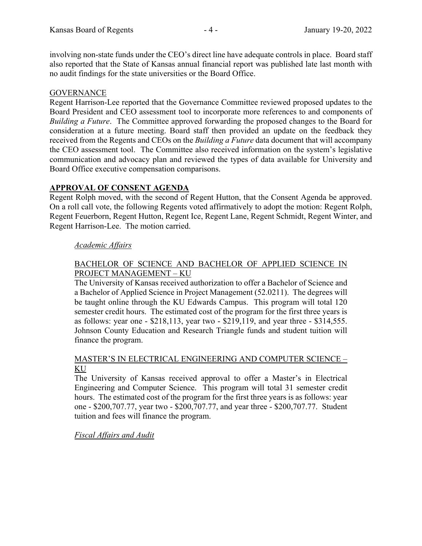involving non-state funds under the CEO's direct line have adequate controls in place. Board staff also reported that the State of Kansas annual financial report was published late last month with no audit findings for the state universities or the Board Office.

### GOVERNANCE

Regent Harrison-Lee reported that the Governance Committee reviewed proposed updates to the Board President and CEO assessment tool to incorporate more references to and components of *Building a Future*. The Committee approved forwarding the proposed changes to the Board for consideration at a future meeting. Board staff then provided an update on the feedback they received from the Regents and CEOs on the *Building a Future* data document that will accompany the CEO assessment tool. The Committee also received information on the system's legislative communication and advocacy plan and reviewed the types of data available for University and Board Office executive compensation comparisons.

### **APPROVAL OF CONSENT AGENDA**

Regent Rolph moved, with the second of Regent Hutton, that the Consent Agenda be approved. On a roll call vote, the following Regents voted affirmatively to adopt the motion: Regent Rolph, Regent Feuerborn, Regent Hutton, Regent Ice, Regent Lane, Regent Schmidt, Regent Winter, and Regent Harrison-Lee. The motion carried.

### *Academic Affairs*

### BACHELOR OF SCIENCE AND BACHELOR OF APPLIED SCIENCE IN PROJECT MANAGEMENT – KU

The University of Kansas received authorization to offer a Bachelor of Science and a Bachelor of Applied Science in Project Management (52.0211). The degrees will be taught online through the KU Edwards Campus. This program will total 120 semester credit hours. The estimated cost of the program for the first three years is as follows: year one - \$218,113, year two - \$219,119, and year three - \$314,555. Johnson County Education and Research Triangle funds and student tuition will finance the program.

### MASTER'S IN ELECTRICAL ENGINEERING AND COMPUTER SCIENCE – KU

The University of Kansas received approval to offer a Master's in Electrical Engineering and Computer Science. This program will total 31 semester credit hours. The estimated cost of the program for the first three years is as follows: year one - \$200,707.77, year two - \$200,707.77, and year three - \$200,707.77. Student tuition and fees will finance the program.

#### *Fiscal Affairs and Audit*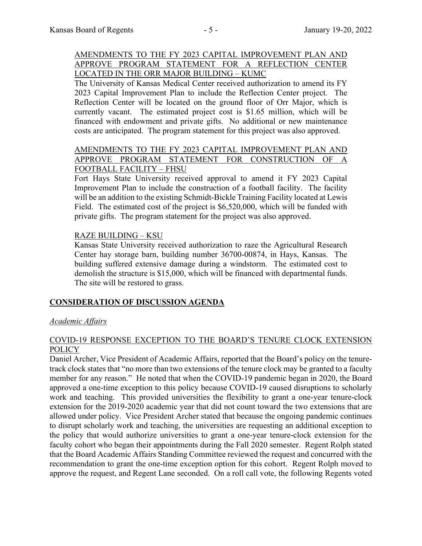# AMENDMENTS TO THE FY 2023 CAPITAL IMPROVEMENT PLAN AND APPROVE PROGRAM STATEMENT FOR A REFLECTION CENTER LOCATED IN THE ORR MAJOR BUILDING – KUMC

The University of Kansas Medical Center received authorization to amend its FY 2023 Capital Improvement Plan to include the Reflection Center project. The Reflection Center will be located on the ground floor of Orr Major, which is currently vacant. The estimated project cost is \$1.65 million, which will be financed with endowment and private gifts. No additional or new maintenance costs are anticipated. The program statement for this project was also approved.

#### AMENDMENTS TO THE FY 2023 CAPITAL IMPROVEMENT PLAN AND APPROVE PROGRAM STATEMENT FOR CONSTRUCTION OF A FOOTBALL FACILITY – FHSU

Fort Hays State University received approval to amend it FY 2023 Capital Improvement Plan to include the construction of a football facility. The facility will be an addition to the existing Schmidt-Bickle Training Facility located at Lewis Field. The estimated cost of the project is \$6,520,000, which will be funded with private gifts. The program statement for the project was also approved.

### RAZE BUILDING – KSU

Kansas State University received authorization to raze the Agricultural Research Center hay storage barn, building number 36700-00874, in Hays, Kansas. The building suffered extensive damage during a windstorm. The estimated cost to demolish the structure is \$15,000, which will be financed with departmental funds. The site will be restored to grass.

# **CONSIDERATION OF DISCUSSION AGENDA**

# *Academic Affairs*

#### COVID-19 RESPONSE EXCEPTION TO THE BOARD'S TENURE CLOCK EXTENSION **POLICY**

Daniel Archer, Vice President of Academic Affairs, reported that the Board's policy on the tenuretrack clock states that "no more than two extensions of the tenure clock may be granted to a faculty member for any reason." He noted that when the COVID-19 pandemic began in 2020, the Board approved a one-time exception to this policy because COVID-19 caused disruptions to scholarly work and teaching. This provided universities the flexibility to grant a one-year tenure-clock extension for the 2019-2020 academic year that did not count toward the two extensions that are allowed under policy. Vice President Archer stated that because the ongoing pandemic continues to disrupt scholarly work and teaching, the universities are requesting an additional exception to the policy that would authorize universities to grant a one-year tenure-clock extension for the faculty cohort who began their appointments during the Fall 2020 semester. Regent Rolph stated that the Board Academic Affairs Standing Committee reviewed the request and concurred with the recommendation to grant the one-time exception option for this cohort. Regent Rolph moved to approve the request, and Regent Lane seconded. On a roll call vote, the following Regents voted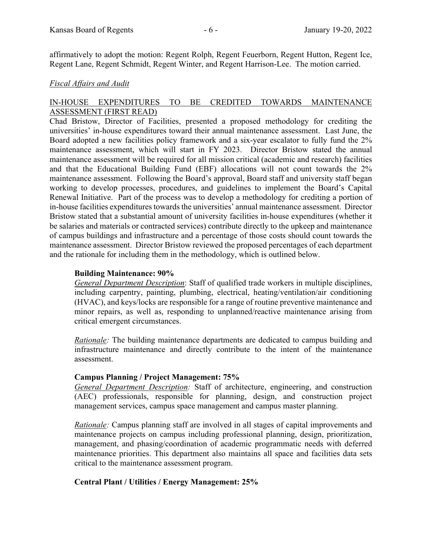affirmatively to adopt the motion: Regent Rolph, Regent Feuerborn, Regent Hutton, Regent Ice, Regent Lane, Regent Schmidt, Regent Winter, and Regent Harrison-Lee. The motion carried.

#### *Fiscal Affairs and Audit*

# IN-HOUSE EXPENDITURES TO BE CREDITED TOWARDS MAINTENANCE ASSESSMENT (FIRST READ)

Chad Bristow, Director of Facilities, presented a proposed methodology for crediting the universities' in-house expenditures toward their annual maintenance assessment. Last June, the Board adopted a new facilities policy framework and a six-year escalator to fully fund the 2% maintenance assessment, which will start in FY 2023. Director Bristow stated the annual maintenance assessment will be required for all mission critical (academic and research) facilities and that the Educational Building Fund (EBF) allocations will not count towards the 2% maintenance assessment. Following the Board's approval, Board staff and university staff began working to develop processes, procedures, and guidelines to implement the Board's Capital Renewal Initiative. Part of the process was to develop a methodology for crediting a portion of in-house facilities expenditures towards the universities' annual maintenance assessment. Director Bristow stated that a substantial amount of university facilities in-house expenditures (whether it be salaries and materials or contracted services) contribute directly to the upkeep and maintenance of campus buildings and infrastructure and a percentage of those costs should count towards the maintenance assessment. Director Bristow reviewed the proposed percentages of each department and the rationale for including them in the methodology, which is outlined below.

### **Building Maintenance: 90%**

*General Department Description*: Staff of qualified trade workers in multiple disciplines, including carpentry, painting, plumbing, electrical, heating/ventilation/air conditioning (HVAC), and keys/locks are responsible for a range of routine preventive maintenance and minor repairs, as well as, responding to unplanned/reactive maintenance arising from critical emergent circumstances.

*Rationale:* The building maintenance departments are dedicated to campus building and infrastructure maintenance and directly contribute to the intent of the maintenance assessment.

# **Campus Planning / Project Management: 75%**

*General Department Description:* Staff of architecture, engineering, and construction (AEC) professionals, responsible for planning, design, and construction project management services, campus space management and campus master planning.

*Rationale:* Campus planning staff are involved in all stages of capital improvements and maintenance projects on campus including professional planning, design, prioritization, management, and phasing/coordination of academic programmatic needs with deferred maintenance priorities. This department also maintains all space and facilities data sets critical to the maintenance assessment program.

# **Central Plant / Utilities / Energy Management: 25%**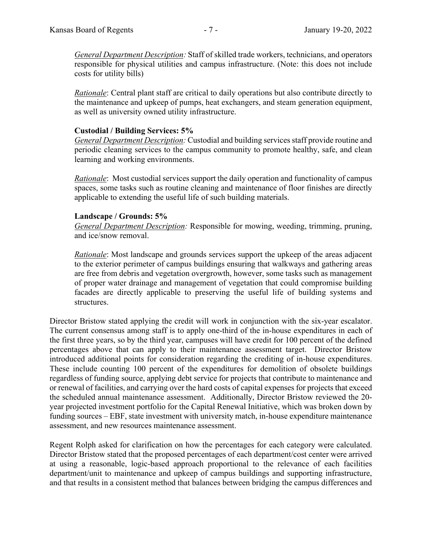*General Department Description:* Staff of skilled trade workers, technicians, and operators responsible for physical utilities and campus infrastructure. (Note: this does not include costs for utility bills)

*Rationale*: Central plant staff are critical to daily operations but also contribute directly to the maintenance and upkeep of pumps, heat exchangers, and steam generation equipment, as well as university owned utility infrastructure.

#### **Custodial / Building Services: 5%**

*General Department Description:* Custodial and building services staff provide routine and periodic cleaning services to the campus community to promote healthy, safe, and clean learning and working environments.

*Rationale*: Most custodial services support the daily operation and functionality of campus spaces, some tasks such as routine cleaning and maintenance of floor finishes are directly applicable to extending the useful life of such building materials.

#### **Landscape / Grounds: 5%**

*General Department Description:* Responsible for mowing, weeding, trimming, pruning, and ice/snow removal.

*Rationale*: Most landscape and grounds services support the upkeep of the areas adjacent to the exterior perimeter of campus buildings ensuring that walkways and gathering areas are free from debris and vegetation overgrowth, however, some tasks such as management of proper water drainage and management of vegetation that could compromise building facades are directly applicable to preserving the useful life of building systems and structures.

Director Bristow stated applying the credit will work in conjunction with the six-year escalator. The current consensus among staff is to apply one-third of the in-house expenditures in each of the first three years, so by the third year, campuses will have credit for 100 percent of the defined percentages above that can apply to their maintenance assessment target. Director Bristow introduced additional points for consideration regarding the crediting of in-house expenditures. These include counting 100 percent of the expenditures for demolition of obsolete buildings regardless of funding source, applying debt service for projects that contribute to maintenance and or renewal of facilities, and carrying over the hard costs of capital expenses for projects that exceed the scheduled annual maintenance assessment. Additionally, Director Bristow reviewed the 20 year projected investment portfolio for the Capital Renewal Initiative, which was broken down by funding sources – EBF, state investment with university match, in-house expenditure maintenance assessment, and new resources maintenance assessment.

Regent Rolph asked for clarification on how the percentages for each category were calculated. Director Bristow stated that the proposed percentages of each department/cost center were arrived at using a reasonable, logic-based approach proportional to the relevance of each facilities department/unit to maintenance and upkeep of campus buildings and supporting infrastructure, and that results in a consistent method that balances between bridging the campus differences and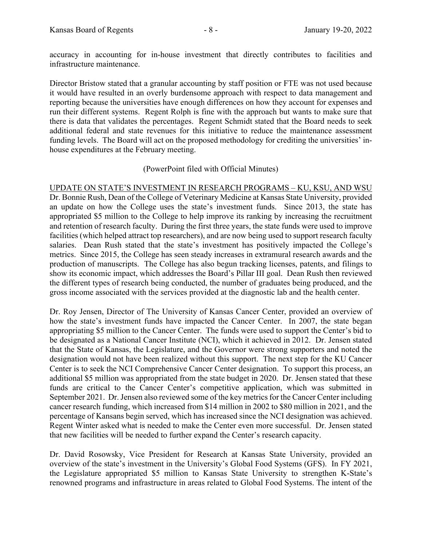accuracy in accounting for in-house investment that directly contributes to facilities and infrastructure maintenance.

Director Bristow stated that a granular accounting by staff position or FTE was not used because it would have resulted in an overly burdensome approach with respect to data management and reporting because the universities have enough differences on how they account for expenses and run their different systems. Regent Rolph is fine with the approach but wants to make sure that there is data that validates the percentages. Regent Schmidt stated that the Board needs to seek additional federal and state revenues for this initiative to reduce the maintenance assessment funding levels. The Board will act on the proposed methodology for crediting the universities' inhouse expenditures at the February meeting.

### (PowerPoint filed with Official Minutes)

UPDATE ON STATE'S INVESTMENT IN RESEARCH PROGRAMS – KU, KSU, AND WSU Dr. Bonnie Rush, Dean of the College of Veterinary Medicine at Kansas State University, provided an update on how the College uses the state's investment funds. Since 2013, the state has appropriated \$5 million to the College to help improve its ranking by increasing the recruitment and retention of research faculty. During the first three years, the state funds were used to improve facilities (which helped attract top researchers), and are now being used to support research faculty salaries. Dean Rush stated that the state's investment has positively impacted the College's metrics. Since 2015, the College has seen steady increases in extramural research awards and the production of manuscripts. The College has also begun tracking licenses, patents, and filings to show its economic impact, which addresses the Board's Pillar III goal. Dean Rush then reviewed the different types of research being conducted, the number of graduates being produced, and the gross income associated with the services provided at the diagnostic lab and the health center.

Dr. Roy Jensen, Director of The University of Kansas Cancer Center, provided an overview of how the state's investment funds have impacted the Cancer Center. In 2007, the state began appropriating \$5 million to the Cancer Center. The funds were used to support the Center's bid to be designated as a National Cancer Institute (NCI), which it achieved in 2012. Dr. Jensen stated that the State of Kansas, the Legislature, and the Governor were strong supporters and noted the designation would not have been realized without this support. The next step for the KU Cancer Center is to seek the NCI Comprehensive Cancer Center designation. To support this process, an additional \$5 million was appropriated from the state budget in 2020. Dr. Jensen stated that these funds are critical to the Cancer Center's competitive application, which was submitted in September 2021. Dr. Jensen also reviewed some of the key metrics for the Cancer Center including cancer research funding, which increased from \$14 million in 2002 to \$80 million in 2021, and the percentage of Kansans begin served, which has increased since the NCI designation was achieved. Regent Winter asked what is needed to make the Center even more successful. Dr. Jensen stated that new facilities will be needed to further expand the Center's research capacity.

Dr. David Rosowsky, Vice President for Research at Kansas State University, provided an overview of the state's investment in the University's Global Food Systems (GFS). In FY 2021, the Legislature appropriated \$5 million to Kansas State University to strengthen K-State's renowned programs and infrastructure in areas related to Global Food Systems. The intent of the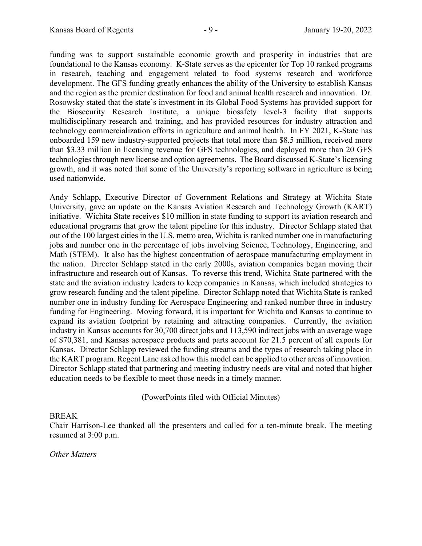funding was to support sustainable economic growth and prosperity in industries that are foundational to the Kansas economy. K-State serves as the epicenter for Top 10 ranked programs in research, teaching and engagement related to food systems research and workforce development. The GFS funding greatly enhances the ability of the University to establish Kansas and the region as the premier destination for food and animal health research and innovation. Dr. Rosowsky stated that the state's investment in its Global Food Systems has provided support for the Biosecurity Research Institute, a unique biosafety level-3 facility that supports multidisciplinary research and training, and has provided resources for industry attraction and technology commercialization efforts in agriculture and animal health. In FY 2021, K-State has onboarded 159 new industry-supported projects that total more than \$8.5 million, received more than \$3.33 million in licensing revenue for GFS technologies, and deployed more than 20 GFS technologies through new license and option agreements. The Board discussed K-State's licensing growth, and it was noted that some of the University's reporting software in agriculture is being used nationwide.

Andy Schlapp, Executive Director of Government Relations and Strategy at Wichita State University, gave an update on the Kansas Aviation Research and Technology Growth (KART) initiative. Wichita State receives \$10 million in state funding to support its aviation research and educational programs that grow the talent pipeline for this industry. Director Schlapp stated that out of the 100 largest cities in the U.S. metro area, Wichita is ranked number one in manufacturing jobs and number one in the percentage of jobs involving Science, Technology, Engineering, and Math (STEM). It also has the highest concentration of aerospace manufacturing employment in the nation. Director Schlapp stated in the early 2000s, aviation companies began moving their infrastructure and research out of Kansas. To reverse this trend, Wichita State partnered with the state and the aviation industry leaders to keep companies in Kansas, which included strategies to grow research funding and the talent pipeline. Director Schlapp noted that Wichita State is ranked number one in industry funding for Aerospace Engineering and ranked number three in industry funding for Engineering. Moving forward, it is important for Wichita and Kansas to continue to expand its aviation footprint by retaining and attracting companies. Currently, the aviation industry in Kansas accounts for 30,700 direct jobs and 113,590 indirect jobs with an average wage of \$70,381, and Kansas aerospace products and parts account for 21.5 percent of all exports for Kansas. Director Schlapp reviewed the funding streams and the types of research taking place in the KART program. Regent Lane asked how this model can be applied to other areas of innovation. Director Schlapp stated that partnering and meeting industry needs are vital and noted that higher education needs to be flexible to meet those needs in a timely manner.

(PowerPoints filed with Official Minutes)

#### BREAK

Chair Harrison-Lee thanked all the presenters and called for a ten-minute break. The meeting resumed at 3:00 p.m.

#### *Other Matters*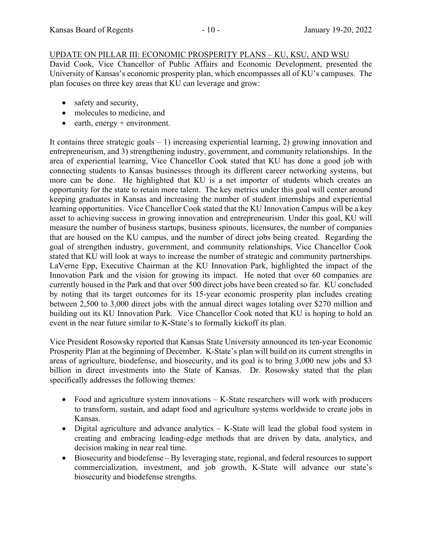# UPDATE ON PILLAR III: ECONOMIC PROSPERITY PLANS – KU, KSU, AND WSU

David Cook, Vice Chancellor of Public Affairs and Economic Development, presented the University of Kansas's economic prosperity plan, which encompasses all of KU's campuses. The plan focuses on three key areas that KU can leverage and grow:

- safety and security,
- molecules to medicine, and
- $\bullet$  earth, energy + environment.

It contains three strategic goals  $-1$ ) increasing experiential learning, 2) growing innovation and entrepreneurism, and 3) strengthening industry, government, and community relationships. In the area of experiential learning, Vice Chancellor Cook stated that KU has done a good job with connecting students to Kansas businesses through its different career networking systems, but more can be done. He highlighted that KU is a net importer of students which creates an opportunity for the state to retain more talent. The key metrics under this goal will center around keeping graduates in Kansas and increasing the number of student internships and experiential learning opportunities. Vice Chancellor Cook stated that the KU Innovation Campus will be a key asset to achieving success in growing innovation and entrepreneurism. Under this goal, KU will measure the number of business startups, business spinouts, licensures, the number of companies that are housed on the KU campus, and the number of direct jobs being created. Regarding the goal of strengthen industry, government, and community relationships, Vice Chancellor Cook stated that KU will look at ways to increase the number of strategic and community partnerships. LaVerne Epp, Executive Chairman at the KU Innovation Park, highlighted the impact of the Innovation Park and the vision for growing its impact. He noted that over 60 companies are currently housed in the Park and that over 500 direct jobs have been created so far. KU concluded by noting that its target outcomes for its 15-year economic prosperity plan includes creating between 2,500 to 3,000 direct jobs with the annual direct wages totaling over \$270 million and building out its KU Innovation Park. Vice Chancellor Cook noted that KU is hoping to hold an event in the near future similar to K-State's to formally kickoff its plan.

Vice President Rosowsky reported that Kansas State University announced its ten-year Economic Prosperity Plan at the beginning of December. K-State's plan will build on its current strengths in areas of agriculture, biodefense, and biosecurity, and its goal is to bring 3,000 new jobs and \$3 billion in direct investments into the State of Kansas. Dr. Rosowsky stated that the plan specifically addresses the following themes:

- Food and agriculture system innovations K-State researchers will work with producers to transform, sustain, and adapt food and agriculture systems worldwide to create jobs in Kansas.
- Digital agriculture and advance analytics K-State will lead the global food system in creating and embracing leading-edge methods that are driven by data, analytics, and decision making in near real time.
- Biosecurity and biodefense By leveraging state, regional, and federal resources to support commercialization, investment, and job growth, K-State will advance our state's biosecurity and biodefense strengths.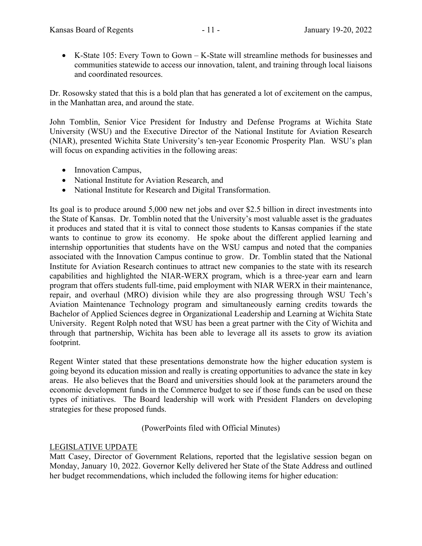K-State 105: Every Town to Gown – K-State will streamline methods for businesses and communities statewide to access our innovation, talent, and training through local liaisons and coordinated resources.

Dr. Rosowsky stated that this is a bold plan that has generated a lot of excitement on the campus, in the Manhattan area, and around the state.

John Tomblin, Senior Vice President for Industry and Defense Programs at Wichita State University (WSU) and the Executive Director of the National Institute for Aviation Research (NIAR), presented Wichita State University's ten-year Economic Prosperity Plan. WSU's plan will focus on expanding activities in the following areas:

- Innovation Campus,
- National Institute for Aviation Research, and
- National Institute for Research and Digital Transformation.

Its goal is to produce around 5,000 new net jobs and over \$2.5 billion in direct investments into the State of Kansas. Dr. Tomblin noted that the University's most valuable asset is the graduates it produces and stated that it is vital to connect those students to Kansas companies if the state wants to continue to grow its economy. He spoke about the different applied learning and internship opportunities that students have on the WSU campus and noted that the companies associated with the Innovation Campus continue to grow. Dr. Tomblin stated that the National Institute for Aviation Research continues to attract new companies to the state with its research capabilities and highlighted the NIAR-WERX program, which is a three-year earn and learn program that offers students full-time, paid employment with NIAR WERX in their maintenance, repair, and overhaul (MRO) division while they are also progressing through WSU Tech's Aviation Maintenance Technology program and simultaneously earning credits towards the Bachelor of Applied Sciences degree in Organizational Leadership and Learning at Wichita State University. Regent Rolph noted that WSU has been a great partner with the City of Wichita and through that partnership, Wichita has been able to leverage all its assets to grow its aviation footprint.

Regent Winter stated that these presentations demonstrate how the higher education system is going beyond its education mission and really is creating opportunities to advance the state in key areas. He also believes that the Board and universities should look at the parameters around the economic development funds in the Commerce budget to see if those funds can be used on these types of initiatives. The Board leadership will work with President Flanders on developing strategies for these proposed funds.

# (PowerPoints filed with Official Minutes)

# LEGISLATIVE UPDATE

Matt Casey, Director of Government Relations, reported that the legislative session began on Monday, January 10, 2022. Governor Kelly delivered her State of the State Address and outlined her budget recommendations, which included the following items for higher education: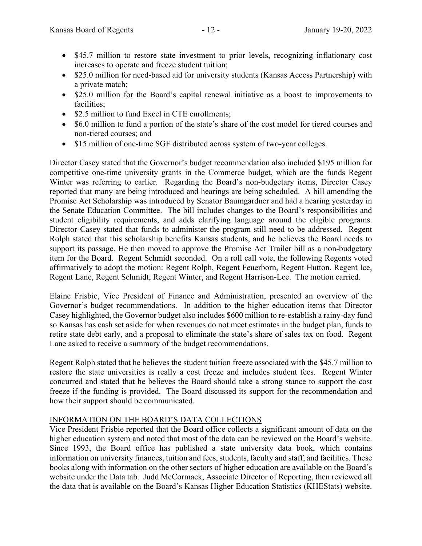- \$45.7 million to restore state investment to prior levels, recognizing inflationary cost increases to operate and freeze student tuition;
- \$25.0 million for need-based aid for university students (Kansas Access Partnership) with a private match;
- \$25.0 million for the Board's capital renewal initiative as a boost to improvements to facilities;
- \$2.5 million to fund Excel in CTE enrollments;
- \$6.0 million to fund a portion of the state's share of the cost model for tiered courses and non-tiered courses; and
- \$15 million of one-time SGF distributed across system of two-year colleges.

Director Casey stated that the Governor's budget recommendation also included \$195 million for competitive one-time university grants in the Commerce budget, which are the funds Regent Winter was referring to earlier. Regarding the Board's non-budgetary items, Director Casey reported that many are being introduced and hearings are being scheduled. A bill amending the Promise Act Scholarship was introduced by Senator Baumgardner and had a hearing yesterday in the Senate Education Committee. The bill includes changes to the Board's responsibilities and student eligibility requirements, and adds clarifying language around the eligible programs. Director Casey stated that funds to administer the program still need to be addressed. Regent Rolph stated that this scholarship benefits Kansas students, and he believes the Board needs to support its passage. He then moved to approve the Promise Act Trailer bill as a non-budgetary item for the Board. Regent Schmidt seconded. On a roll call vote, the following Regents voted affirmatively to adopt the motion: Regent Rolph, Regent Feuerborn, Regent Hutton, Regent Ice, Regent Lane, Regent Schmidt, Regent Winter, and Regent Harrison-Lee. The motion carried.

Elaine Frisbie, Vice President of Finance and Administration, presented an overview of the Governor's budget recommendations. In addition to the higher education items that Director Casey highlighted, the Governor budget also includes \$600 million to re-establish a rainy-day fund so Kansas has cash set aside for when revenues do not meet estimates in the budget plan, funds to retire state debt early, and a proposal to eliminate the state's share of sales tax on food. Regent Lane asked to receive a summary of the budget recommendations.

Regent Rolph stated that he believes the student tuition freeze associated with the \$45.7 million to restore the state universities is really a cost freeze and includes student fees. Regent Winter concurred and stated that he believes the Board should take a strong stance to support the cost freeze if the funding is provided. The Board discussed its support for the recommendation and how their support should be communicated.

# INFORMATION ON THE BOARD'S DATA COLLECTIONS

Vice President Frisbie reported that the Board office collects a significant amount of data on the higher education system and noted that most of the data can be reviewed on the Board's website. Since 1993, the Board office has published a state university data book, which contains information on university finances, tuition and fees, students, faculty and staff, and facilities. These books along with information on the other sectors of higher education are available on the Board's website under the Data tab. Judd McCormack, Associate Director of Reporting, then reviewed all the data that is available on the Board's Kansas Higher Education Statistics (KHEStats) website.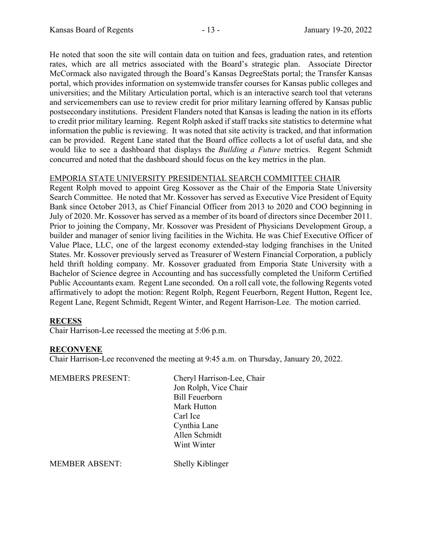He noted that soon the site will contain data on tuition and fees, graduation rates, and retention rates, which are all metrics associated with the Board's strategic plan. Associate Director McCormack also navigated through the Board's Kansas DegreeStats portal; the Transfer Kansas portal, which provides information on systemwide transfer courses for Kansas public colleges and universities; and the Military Articulation portal, which is an interactive search tool that veterans and servicemembers can use to review credit for prior military learning offered by Kansas public postsecondary institutions. President Flanders noted that Kansas is leading the nation in its efforts to credit prior military learning. Regent Rolph asked if staff tracks site statistics to determine what information the public is reviewing. It was noted that site activity is tracked, and that information can be provided. Regent Lane stated that the Board office collects a lot of useful data, and she would like to see a dashboard that displays the *Building a Future* metrics. Regent Schmidt concurred and noted that the dashboard should focus on the key metrics in the plan.

# EMPORIA STATE UNIVERSITY PRESIDENTIAL SEARCH COMMITTEE CHAIR

Regent Rolph moved to appoint Greg Kossover as the Chair of the Emporia State University Search Committee. He noted that Mr. Kossover has served as Executive Vice President of Equity Bank since October 2013, as Chief Financial Officer from 2013 to 2020 and COO beginning in July of 2020. Mr. Kossover has served as a member of its board of directors since December 2011. Prior to joining the Company, Mr. Kossover was President of Physicians Development Group, a builder and manager of senior living facilities in the Wichita. He was Chief Executive Officer of Value Place, LLC, one of the largest economy extended-stay lodging franchises in the United States. Mr. Kossover previously served as Treasurer of Western Financial Corporation, a publicly held thrift holding company. Mr. Kossover graduated from Emporia State University with a Bachelor of Science degree in Accounting and has successfully completed the Uniform Certified Public Accountants exam. Regent Lane seconded. On a roll call vote, the following Regents voted affirmatively to adopt the motion: Regent Rolph, Regent Feuerborn, Regent Hutton, Regent Ice, Regent Lane, Regent Schmidt, Regent Winter, and Regent Harrison-Lee. The motion carried.

# **RECESS**

Chair Harrison-Lee recessed the meeting at 5:06 p.m.

#### **RECONVENE**

Chair Harrison-Lee reconvened the meeting at 9:45 a.m. on Thursday, January 20, 2022.

| <b>MEMBERS PRESENT:</b> | Cheryl Harrison-Lee, Chair |
|-------------------------|----------------------------|
|                         | Jon Rolph, Vice Chair      |
|                         | <b>Bill Feuerborn</b>      |
|                         | Mark Hutton                |
|                         | Carl Ice                   |
|                         | Cynthia Lane               |
|                         | Allen Schmidt              |
|                         | Wint Winter                |
|                         |                            |

MEMBER ABSENT: Shelly Kiblinger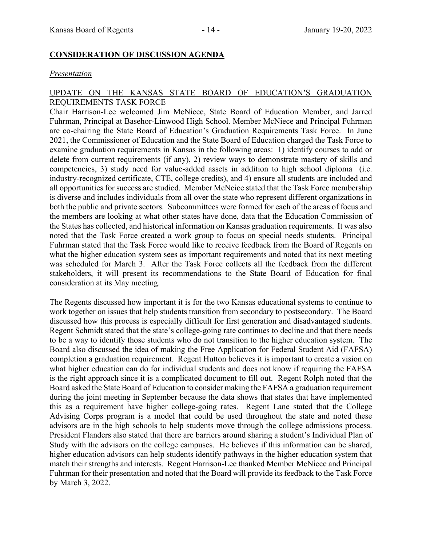### **CONSIDERATION OF DISCUSSION AGENDA**

#### *Presentation*

#### UPDATE ON THE KANSAS STATE BOARD OF EDUCATION'S GRADUATION REQUIREMENTS TASK FORCE

Chair Harrison-Lee welcomed Jim McNiece, State Board of Education Member, and Jarred Fuhrman, Principal at Basehor-Linwood High School. Member McNiece and Principal Fuhrman are co-chairing the State Board of Education's Graduation Requirements Task Force. In June 2021, the Commissioner of Education and the State Board of Education charged the Task Force to examine graduation requirements in Kansas in the following areas: 1) identify courses to add or delete from current requirements (if any), 2) review ways to demonstrate mastery of skills and competencies, 3) study need for value-added assets in addition to high school diploma (i.e. industry-recognized certificate, CTE, college credits), and 4) ensure all students are included and all opportunities for success are studied. Member McNeice stated that the Task Force membership is diverse and includes individuals from all over the state who represent different organizations in both the public and private sectors. Subcommittees were formed for each of the areas of focus and the members are looking at what other states have done, data that the Education Commission of the States has collected, and historical information on Kansas graduation requirements. It was also noted that the Task Force created a work group to focus on special needs students. Principal Fuhrman stated that the Task Force would like to receive feedback from the Board of Regents on what the higher education system sees as important requirements and noted that its next meeting was scheduled for March 3. After the Task Force collects all the feedback from the different stakeholders, it will present its recommendations to the State Board of Education for final consideration at its May meeting.

The Regents discussed how important it is for the two Kansas educational systems to continue to work together on issues that help students transition from secondary to postsecondary. The Board discussed how this process is especially difficult for first generation and disadvantaged students. Regent Schmidt stated that the state's college-going rate continues to decline and that there needs to be a way to identify those students who do not transition to the higher education system. The Board also discussed the idea of making the Free Application for Federal Student Aid (FAFSA) completion a graduation requirement. Regent Hutton believes it is important to create a vision on what higher education can do for individual students and does not know if requiring the FAFSA is the right approach since it is a complicated document to fill out. Regent Rolph noted that the Board asked the State Board of Education to consider making the FAFSA a graduation requirement during the joint meeting in September because the data shows that states that have implemented this as a requirement have higher college-going rates. Regent Lane stated that the College Advising Corps program is a model that could be used throughout the state and noted these advisors are in the high schools to help students move through the college admissions process. President Flanders also stated that there are barriers around sharing a student's Individual Plan of Study with the advisors on the college campuses. He believes if this information can be shared, higher education advisors can help students identify pathways in the higher education system that match their strengths and interests. Regent Harrison-Lee thanked Member McNiece and Principal Fuhrman for their presentation and noted that the Board will provide its feedback to the Task Force by March 3, 2022.